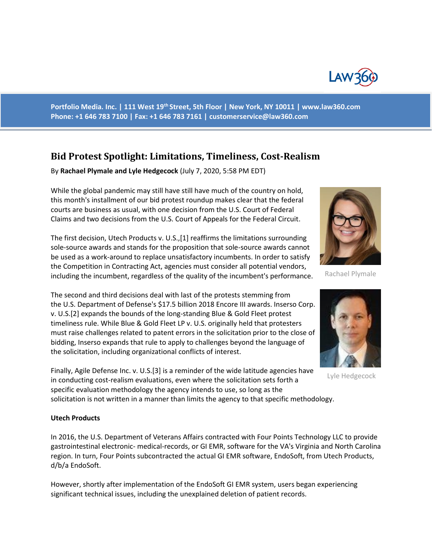

**Portfolio Media. Inc. | 111 West 19th Street, 5th Floor | New York, NY 10011 | www.law360.com Phone: +1 646 783 7100 | Fax: +1 646 783 7161 | customerservice@law360.com**

# **Bid Protest Spotlight: Limitations, Timeliness, Cost-Realism**

By **Rachael Plymale and Lyle Hedgecock** (July 7, 2020, 5:58 PM EDT)

While the global pandemic may still have still have much of the country on hold, this month's installment of our bid protest roundup makes clear that the federal courts are business as usual, with one decision from the U.S. Court of Federal Claims and two decisions from the U.S. Court of Appeals for the Federal Circuit.

The first decision, Utech Products v. U.S.,[1] reaffirms the limitations surrounding sole-source awards and stands for the proposition that sole-source awards cannot be used as a work-around to replace unsatisfactory incumbents. In order to satisfy the Competition in Contracting Act, agencies must consider all potential vendors, including the incumbent, regardless of the quality of the incumbent's performance.

The second and third decisions deal with last of the protests stemming from the U.S. Department of Defense's \$17.5 billion 2018 Encore III awards. Inserso Corp. v. U.S.[2] expands the bounds of the long-standing Blue & Gold Fleet protest timeliness rule. While Blue & Gold Fleet LP v. U.S. originally held that protesters must raise challenges related to patent errors in the solicitation prior to the close of bidding, Inserso expands that rule to apply to challenges beyond the language of the solicitation, including organizational conflicts of interest.

Finally, Agile Defense Inc. v. U.S.[3] is a reminder of the wide latitude agencies have in conducting cost-realism evaluations, even where the solicitation sets forth a specific evaluation methodology the agency intends to use, so long as the

solicitation is not written in a manner than limits the agency to that specific methodology.

# **Utech Products**

In 2016, the U.S. Department of Veterans Affairs contracted with Four Points Technology LLC to provide gastrointestinal electronic- medical-records, or GI EMR, software for the VA's Virginia and North Carolina region. In turn, Four Points subcontracted the actual GI EMR software, EndoSoft, from Utech Products, d/b/a EndoSoft.

However, shortly after implementation of the EndoSoft GI EMR system, users began experiencing significant technical issues, including the unexplained deletion of patient records.



Rachael Plymale



Lyle Hedgecock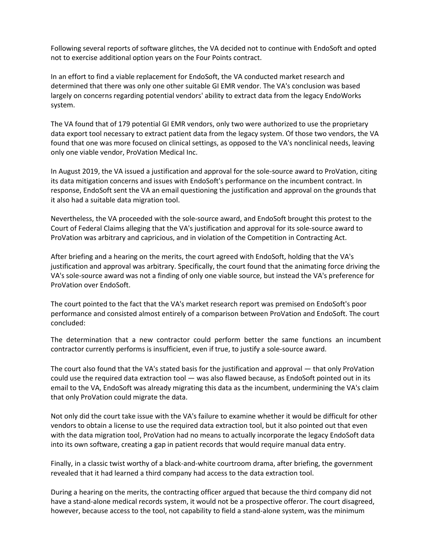Following several reports of software glitches, the VA decided not to continue with EndoSoft and opted not to exercise additional option years on the Four Points contract.

In an effort to find a viable replacement for EndoSoft, the VA conducted market research and determined that there was only one other suitable GI EMR vendor. The VA's conclusion was based largely on concerns regarding potential vendors' ability to extract data from the legacy EndoWorks system.

The VA found that of 179 potential GI EMR vendors, only two were authorized to use the proprietary data export tool necessary to extract patient data from the legacy system. Of those two vendors, the VA found that one was more focused on clinical settings, as opposed to the VA's nonclinical needs, leaving only one viable vendor, ProVation Medical Inc.

In August 2019, the VA issued a justification and approval for the sole-source award to ProVation, citing its data mitigation concerns and issues with EndoSoft's performance on the incumbent contract. In response, EndoSoft sent the VA an email questioning the justification and approval on the grounds that it also had a suitable data migration tool.

Nevertheless, the VA proceeded with the sole-source award, and EndoSoft brought this protest to the Court of Federal Claims alleging that the VA's justification and approval for its sole-source award to ProVation was arbitrary and capricious, and in violation of the Competition in Contracting Act.

After briefing and a hearing on the merits, the court agreed with EndoSoft, holding that the VA's justification and approval was arbitrary. Specifically, the court found that the animating force driving the VA's sole-source award was not a finding of only one viable source, but instead the VA's preference for ProVation over EndoSoft.

The court pointed to the fact that the VA's market research report was premised on EndoSoft's poor performance and consisted almost entirely of a comparison between ProVation and EndoSoft. The court concluded:

The determination that a new contractor could perform better the same functions an incumbent contractor currently performs is insufficient, even if true, to justify a sole-source award.

The court also found that the VA's stated basis for the justification and approval — that only ProVation could use the required data extraction tool — was also flawed because, as EndoSoft pointed out in its email to the VA, EndoSoft was already migrating this data as the incumbent, undermining the VA's claim that only ProVation could migrate the data.

Not only did the court take issue with the VA's failure to examine whether it would be difficult for other vendors to obtain a license to use the required data extraction tool, but it also pointed out that even with the data migration tool, ProVation had no means to actually incorporate the legacy EndoSoft data into its own software, creating a gap in patient records that would require manual data entry.

Finally, in a classic twist worthy of a black-and-white courtroom drama, after briefing, the government revealed that it had learned a third company had access to the data extraction tool.

During a hearing on the merits, the contracting officer argued that because the third company did not have a stand-alone medical records system, it would not be a prospective offeror. The court disagreed, however, because access to the tool, not capability to field a stand-alone system, was the minimum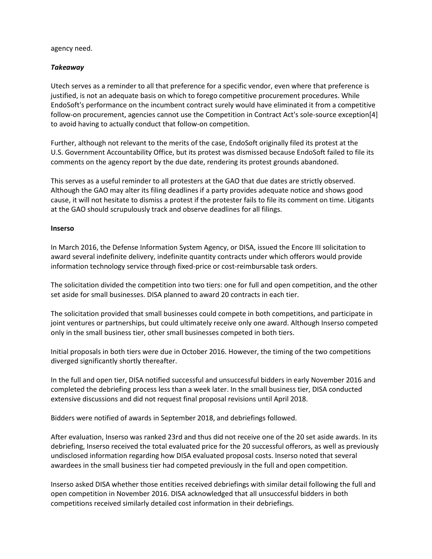#### agency need.

# *Takeaway*

Utech serves as a reminder to all that preference for a specific vendor, even where that preference is justified, is not an adequate basis on which to forego competitive procurement procedures. While EndoSoft's performance on the incumbent contract surely would have eliminated it from a competitive follow-on procurement, agencies cannot use the Competition in Contract Act's sole-source exception[4] to avoid having to actually conduct that follow-on competition.

Further, although not relevant to the merits of the case, EndoSoft originally filed its protest at the U.S. Government Accountability Office, but its protest was dismissed because EndoSoft failed to file its comments on the agency report by the due date, rendering its protest grounds abandoned.

This serves as a useful reminder to all protesters at the GAO that due dates are strictly observed. Although the GAO may alter its filing deadlines if a party provides adequate notice and shows good cause, it will not hesitate to dismiss a protest if the protester fails to file its comment on time. Litigants at the GAO should scrupulously track and observe deadlines for all filings.

#### **Inserso**

In March 2016, the Defense Information System Agency, or DISA, issued the Encore III solicitation to award several indefinite delivery, indefinite quantity contracts under which offerors would provide information technology service through fixed-price or cost-reimbursable task orders.

The solicitation divided the competition into two tiers: one for full and open competition, and the other set aside for small businesses. DISA planned to award 20 contracts in each tier.

The solicitation provided that small businesses could compete in both competitions, and participate in joint ventures or partnerships, but could ultimately receive only one award. Although Inserso competed only in the small business tier, other small businesses competed in both tiers.

Initial proposals in both tiers were due in October 2016. However, the timing of the two competitions diverged significantly shortly thereafter.

In the full and open tier, DISA notified successful and unsuccessful bidders in early November 2016 and completed the debriefing process less than a week later. In the small business tier, DISA conducted extensive discussions and did not request final proposal revisions until April 2018.

Bidders were notified of awards in September 2018, and debriefings followed.

After evaluation, Inserso was ranked 23rd and thus did not receive one of the 20 set aside awards. In its debriefing, Inserso received the total evaluated price for the 20 successful offerors, as well as previously undisclosed information regarding how DISA evaluated proposal costs. Inserso noted that several awardees in the small business tier had competed previously in the full and open competition.

Inserso asked DISA whether those entities received debriefings with similar detail following the full and open competition in November 2016. DISA acknowledged that all unsuccessful bidders in both competitions received similarly detailed cost information in their debriefings.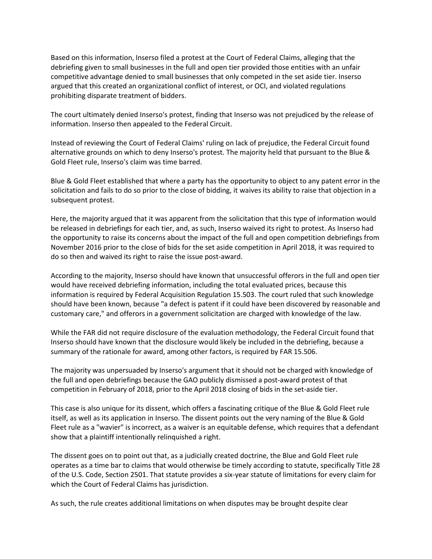Based on this information, Inserso filed a protest at the Court of Federal Claims, alleging that the debriefing given to small businesses in the full and open tier provided those entities with an unfair competitive advantage denied to small businesses that only competed in the set aside tier. Inserso argued that this created an organizational conflict of interest, or OCI, and violated regulations prohibiting disparate treatment of bidders.

The court ultimately denied Inserso's protest, finding that Inserso was not prejudiced by the release of information. Inserso then appealed to the Federal Circuit.

Instead of reviewing the Court of Federal Claims' ruling on lack of prejudice, the Federal Circuit found alternative grounds on which to deny Inserso's protest. The majority held that pursuant to the Blue & Gold Fleet rule, Inserso's claim was time barred.

Blue & Gold Fleet established that where a party has the opportunity to object to any patent error in the solicitation and fails to do so prior to the close of bidding, it waives its ability to raise that objection in a subsequent protest.

Here, the majority argued that it was apparent from the solicitation that this type of information would be released in debriefings for each tier, and, as such, Inserso waived its right to protest. As Inserso had the opportunity to raise its concerns about the impact of the full and open competition debriefings from November 2016 prior to the close of bids for the set aside competition in April 2018, it was required to do so then and waived its right to raise the issue post-award.

According to the majority, Inserso should have known that unsuccessful offerors in the full and open tier would have received debriefing information, including the total evaluated prices, because this information is required by Federal Acquisition Regulation 15.503. The court ruled that such knowledge should have been known, because "a defect is patent if it could have been discovered by reasonable and customary care," and offerors in a government solicitation are charged with knowledge of the law.

While the FAR did not require disclosure of the evaluation methodology, the Federal Circuit found that Inserso should have known that the disclosure would likely be included in the debriefing, because a summary of the rationale for award, among other factors, is required by FAR 15.506.

The majority was unpersuaded by Inserso's argument that it should not be charged with knowledge of the full and open debriefings because the GAO publicly dismissed a post-award protest of that competition in February of 2018, prior to the April 2018 closing of bids in the set-aside tier.

This case is also unique for its dissent, which offers a fascinating critique of the Blue & Gold Fleet rule itself, as well as its application in Inserso. The dissent points out the very naming of the Blue & Gold Fleet rule as a "wavier" is incorrect, as a waiver is an equitable defense, which requires that a defendant show that a plaintiff intentionally relinquished a right.

The dissent goes on to point out that, as a judicially created doctrine, the Blue and Gold Fleet rule operates as a time bar to claims that would otherwise be timely according to statute, specifically Title 28 of the U.S. Code, Section 2501. That statute provides a six-year statute of limitations for every claim for which the Court of Federal Claims has jurisdiction.

As such, the rule creates additional limitations on when disputes may be brought despite clear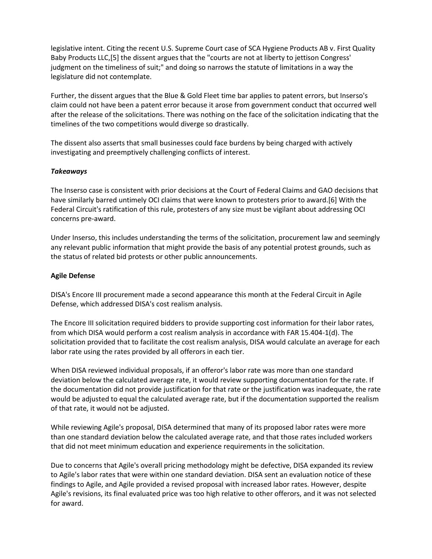legislative intent. Citing the recent U.S. Supreme Court case of SCA Hygiene Products AB v. First Quality Baby Products LLC,[5] the dissent argues that the "courts are not at liberty to jettison Congress' judgment on the timeliness of suit;" and doing so narrows the statute of limitations in a way the legislature did not contemplate.

Further, the dissent argues that the Blue & Gold Fleet time bar applies to patent errors, but Inserso's claim could not have been a patent error because it arose from government conduct that occurred well after the release of the solicitations. There was nothing on the face of the solicitation indicating that the timelines of the two competitions would diverge so drastically.

The dissent also asserts that small businesses could face burdens by being charged with actively investigating and preemptively challenging conflicts of interest.

# *Takeaways*

The Inserso case is consistent with prior decisions at the Court of Federal Claims and GAO decisions that have similarly barred untimely OCI claims that were known to protesters prior to award.[6] With the Federal Circuit's ratification of this rule, protesters of any size must be vigilant about addressing OCI concerns pre-award.

Under Inserso, this includes understanding the terms of the solicitation, procurement law and seemingly any relevant public information that might provide the basis of any potential protest grounds, such as the status of related bid protests or other public announcements.

#### **Agile Defense**

DISA's Encore III procurement made a second appearance this month at the Federal Circuit in Agile Defense, which addressed DISA's cost realism analysis.

The Encore III solicitation required bidders to provide supporting cost information for their labor rates, from which DISA would perform a cost realism analysis in accordance with FAR 15.404-1(d). The solicitation provided that to facilitate the cost realism analysis, DISA would calculate an average for each labor rate using the rates provided by all offerors in each tier.

When DISA reviewed individual proposals, if an offeror's labor rate was more than one standard deviation below the calculated average rate, it would review supporting documentation for the rate. If the documentation did not provide justification for that rate or the justification was inadequate, the rate would be adjusted to equal the calculated average rate, but if the documentation supported the realism of that rate, it would not be adjusted.

While reviewing Agile's proposal, DISA determined that many of its proposed labor rates were more than one standard deviation below the calculated average rate, and that those rates included workers that did not meet minimum education and experience requirements in the solicitation.

Due to concerns that Agile's overall pricing methodology might be defective, DISA expanded its review to Agile's labor rates that were within one standard deviation. DISA sent an evaluation notice of these findings to Agile, and Agile provided a revised proposal with increased labor rates. However, despite Agile's revisions, its final evaluated price was too high relative to other offerors, and it was not selected for award.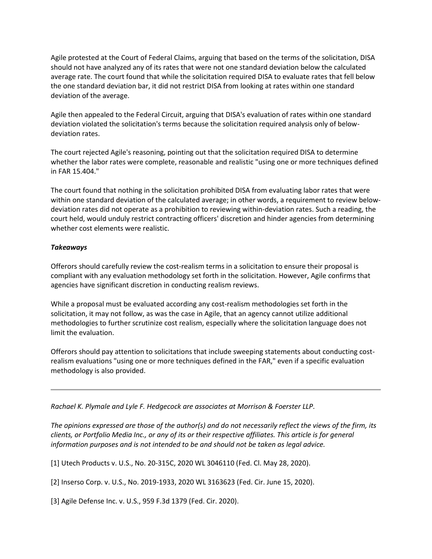Agile protested at the Court of Federal Claims, arguing that based on the terms of the solicitation, DISA should not have analyzed any of its rates that were not one standard deviation below the calculated average rate. The court found that while the solicitation required DISA to evaluate rates that fell below the one standard deviation bar, it did not restrict DISA from looking at rates within one standard deviation of the average.

Agile then appealed to the Federal Circuit, arguing that DISA's evaluation of rates within one standard deviation violated the solicitation's terms because the solicitation required analysis only of belowdeviation rates.

The court rejected Agile's reasoning, pointing out that the solicitation required DISA to determine whether the labor rates were complete, reasonable and realistic "using one or more techniques defined in FAR 15.404."

The court found that nothing in the solicitation prohibited DISA from evaluating labor rates that were within one standard deviation of the calculated average; in other words, a requirement to review belowdeviation rates did not operate as a prohibition to reviewing within-deviation rates. Such a reading, the court held, would unduly restrict contracting officers' discretion and hinder agencies from determining whether cost elements were realistic.

#### *Takeaways*

Offerors should carefully review the cost-realism terms in a solicitation to ensure their proposal is compliant with any evaluation methodology set forth in the solicitation. However, Agile confirms that agencies have significant discretion in conducting realism reviews.

While a proposal must be evaluated according any cost-realism methodologies set forth in the solicitation, it may not follow, as was the case in Agile, that an agency cannot utilize additional methodologies to further scrutinize cost realism, especially where the solicitation language does not limit the evaluation.

Offerors should pay attention to solicitations that include sweeping statements about conducting costrealism evaluations "using one or more techniques defined in the FAR," even if a specific evaluation methodology is also provided.

*Rachael K. Plymale and Lyle F. Hedgecock are associates at Morrison & Foerster LLP.*

*The opinions expressed are those of the author(s) and do not necessarily reflect the views of the firm, its clients, or Portfolio Media Inc., or any of its or their respective affiliates. This article is for general information purposes and is not intended to be and should not be taken as legal advice.*

[1] Utech Products v. U.S., No. 20-315C, 2020 WL 3046110 (Fed. Cl. May 28, 2020).

[2] Inserso Corp. v. U.S., No. 2019-1933, 2020 WL 3163623 (Fed. Cir. June 15, 2020).

[3] Agile Defense Inc. v. U.S., 959 F.3d 1379 (Fed. Cir. 2020).